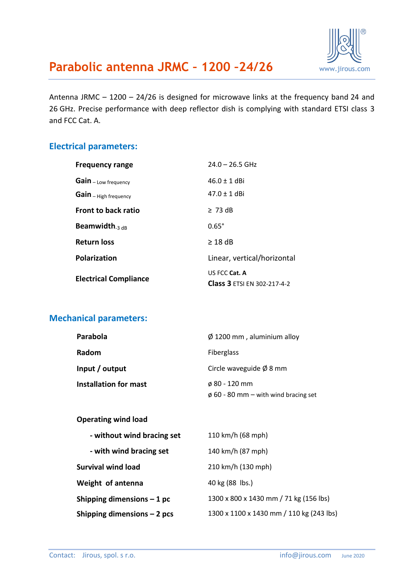

Antenna JRMC – 1200 – 24/26 is designed for microwave links at the frequency band 24 and 26 GHz. Precise performance with deep reflector dish is complying with standard ETSI class 3 and FCC Cat. A.

#### **Electrical parameters:**

| <b>Frequency range</b>       | $24.0 - 26.5$ GHz                  |
|------------------------------|------------------------------------|
| Gain - Low frequency         | $46.0 \pm 1$ dBi                   |
| Gain - High frequency        | $47.0 \pm 1$ dBi                   |
| <b>Front to back ratio</b>   | $\geq 73$ dB                       |
| Beamwidth $_{3\text{ dB}}$   | $0.65^\circ$                       |
| <b>Return loss</b>           | $\geq$ 18 dB                       |
| Polarization                 | Linear, vertical/horizontal        |
| <b>Electrical Compliance</b> | US FCC Cat. A                      |
|                              | <b>Class 3 ETSI EN 302-217-4-2</b> |

#### **Mechanical parameters:**

| Parabola                     | $\varnothing$ 1200 mm, aluminium alloy    |  |
|------------------------------|-------------------------------------------|--|
| Radom                        | <b>Fiberglass</b>                         |  |
| Input / output               | Circle waveguide $\emptyset$ 8 mm         |  |
| <b>Installation for mast</b> | $\phi$ 80 - 120 mm                        |  |
|                              | $\phi$ 60 - 80 mm – with wind bracing set |  |

#### **Operating wind load**

| - without wind bracing set  | 110 km/h (68 mph)                        |  |
|-----------------------------|------------------------------------------|--|
| - with wind bracing set     | 140 km/h (87 mph)                        |  |
| <b>Survival wind load</b>   | 210 km/h (130 mph)                       |  |
| Weight of antenna           | 40 kg (88 lbs.)                          |  |
| Shipping dimensions $-1$ pc | 1300 x 800 x 1430 mm / 71 kg (156 lbs)   |  |
| Shipping dimensions - 2 pcs | 1300 x 1100 x 1430 mm / 110 kg (243 lbs) |  |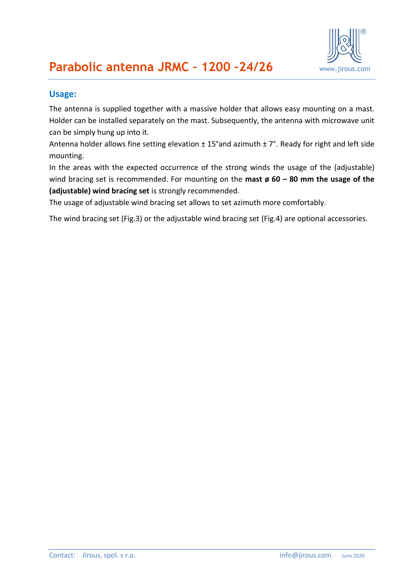

#### **Usage:**

The antenna is supplied together with a massive holder that allows easy mounting on a mast. Holder can be installed separately on the mast. Subsequently, the antenna with microwave unit can be simply hung up into it.

Antenna holder allows fine setting elevation  $\pm$  15°and azimuth  $\pm$  7°. Ready for right and left side mounting.

In the areas with the expected occurrence of the strong winds the usage of the (adjustable) wind bracing set is recommended. For mounting on the **mast ø 60 – 80 mm the usage of the (adjustable) wind bracing set** is strongly recommended.

The usage of adjustable wind bracing set allows to set azimuth more comfortably.

The wind bracing set (Fig.3) or the adjustable wind bracing set (Fig.4) are optional accessories.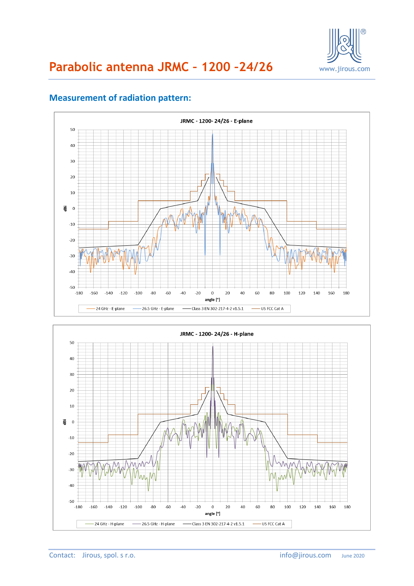



### **Measurement of radiation pattern:**

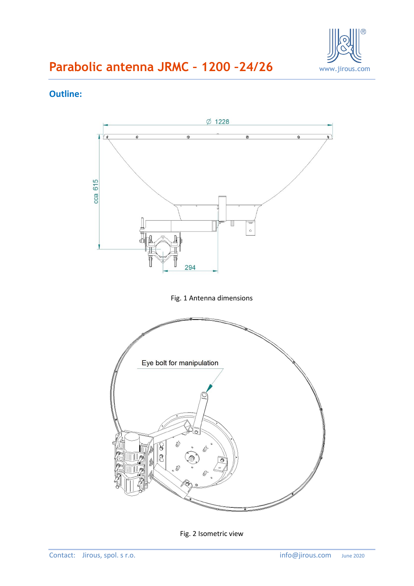

#### **Outline:**



Fig. 2 Isometric view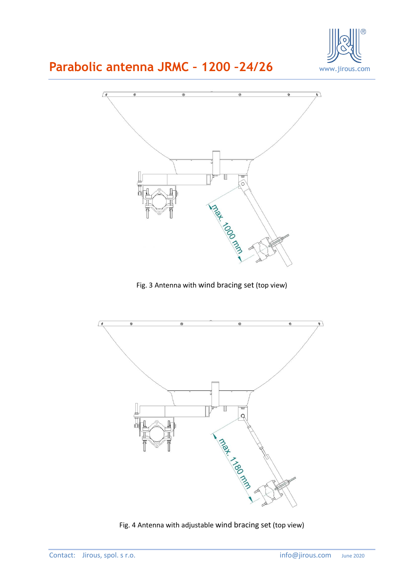



Fig. 3 Antenna with wind bracing set (top view)



Fig. 4 Antenna with adjustable wind bracing set (top view)